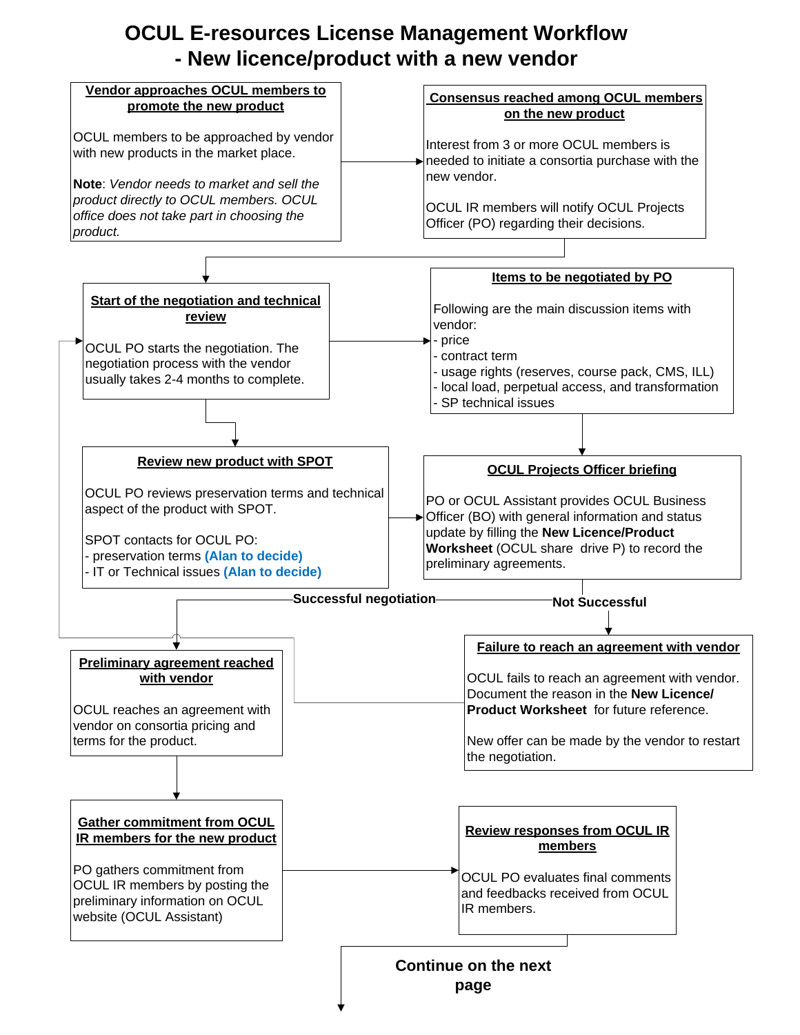## **OCUL E-resources License Management Workflow - New licence/product with a new vendor**

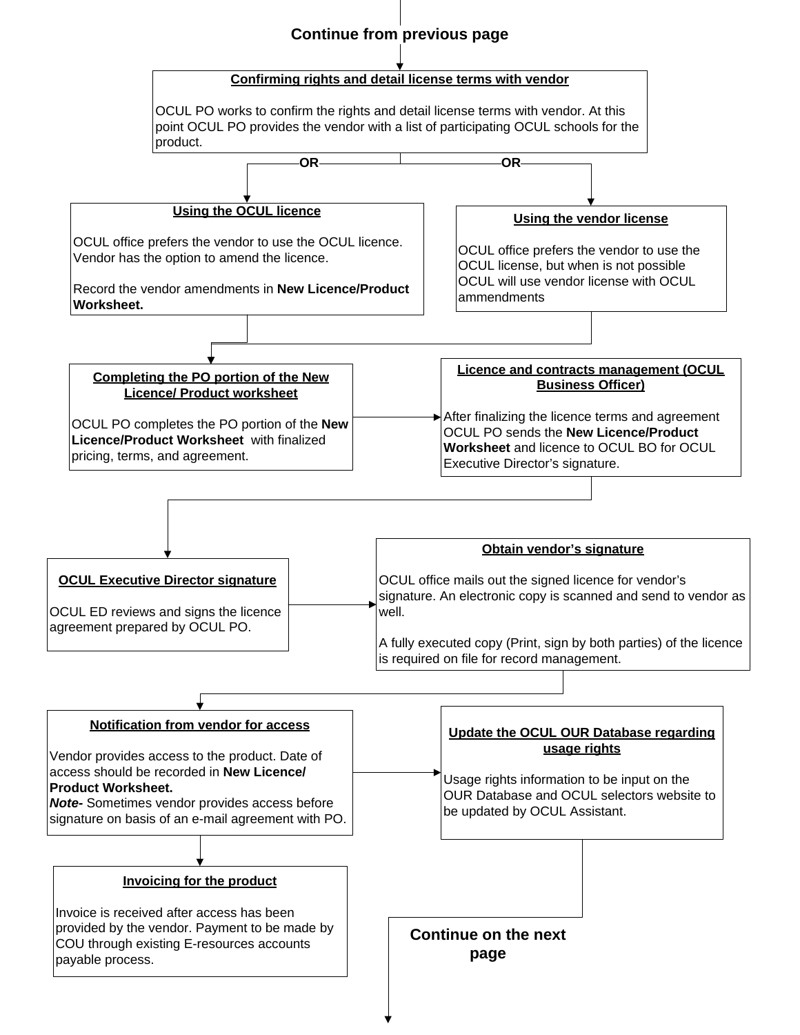## **Continue from previous page**